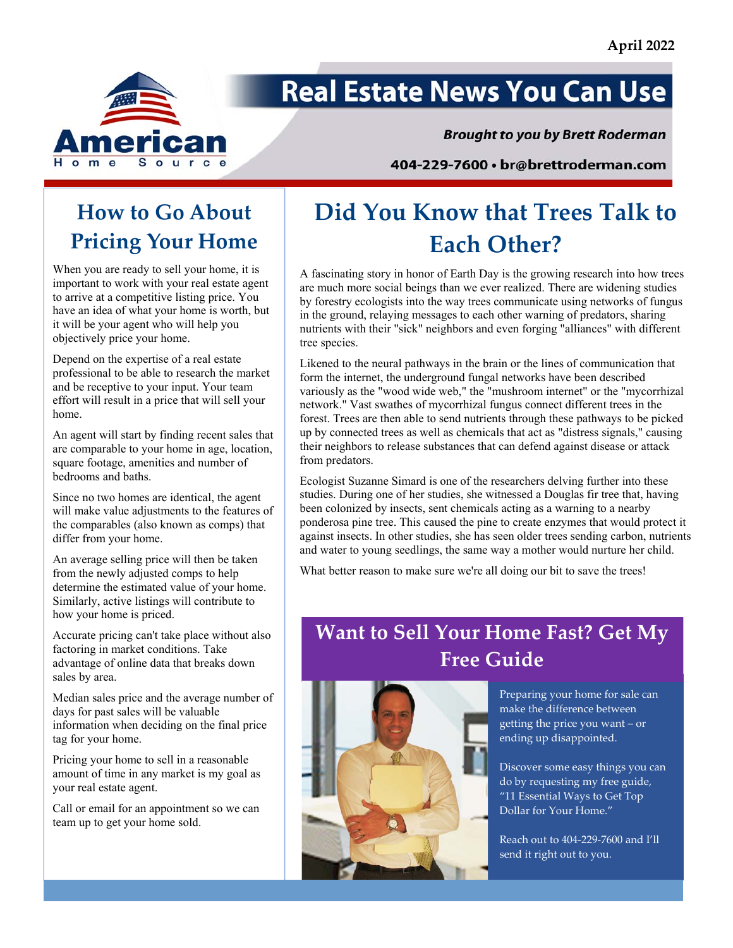

# **Real Estate News You Can Use**

#### **Brought to you by Brett Roderman**

404-229-7600 · br@brettroderman.com

### **How to Go About Pricing Your Home**

When you are ready to sell your home, it is important to work with your real estate agent to arrive at a competitive listing price. You have an idea of what your home is worth, but it will be your agent who will help you objectively price your home.

Depend on the expertise of a real estate professional to be able to research the market and be receptive to your input. Your team effort will result in a price that will sell your home.

An agent will start by finding recent sales that are comparable to your home in age, location, square footage, amenities and number of bedrooms and baths.

Since no two homes are identical, the agent will make value adjustments to the features of the comparables (also known as comps) that differ from your home.

An average selling price will then be taken from the newly adjusted comps to help determine the estimated value of your home. Similarly, active listings will contribute to how your home is priced.

Accurate pricing can't take place without also factoring in market conditions. Take advantage of online data that breaks down sales by area.

Median sales price and the average number of days for past sales will be valuable information when deciding on the final price tag for your home.

Pricing your home to sell in a reasonable amount of time in any market is my goal as your real estate agent.

Call or email for an appointment so we can team up to get your home sold.

# **Did You Know that Trees Talk to Each Other?**

A fascinating story in honor of Earth Day is the growing research into how trees are much more social beings than we ever realized. There are widening studies by forestry ecologists into the way trees communicate using networks of fungus in the ground, relaying messages to each other warning of predators, sharing nutrients with their "sick" neighbors and even forging "alliances" with different tree species.

Likened to the neural pathways in the brain or the lines of communication that form the internet, the underground fungal networks have been described variously as the "wood wide web," the "mushroom internet" or the "mycorrhizal network." Vast swathes of mycorrhizal fungus connect different trees in the forest. Trees are then able to send nutrients through these pathways to be picked up by connected trees as well as chemicals that act as "distress signals," causing their neighbors to release substances that can defend against disease or attack from predators.

Ecologist Suzanne Simard is one of the researchers delving further into these studies. During one of her studies, she witnessed a Douglas fir tree that, having been colonized by insects, sent chemicals acting as a warning to a nearby ponderosa pine tree. This caused the pine to create enzymes that would protect it against insects. In other studies, she has seen older trees sending carbon, nutrients and water to young seedlings, the same way a mother would nurture her child.

What better reason to make sure we're all doing our bit to save the trees!

### **Want to Sell Your Home Fast? Get My Free Guide**



Preparing your home for sale can make the difference between getting the price you want – or ending up disappointed.

Discover some easy things you can do by requesting my free guide, "11 Essential Ways to Get Top Dollar for Your Home."

Reach out to 404‐229‐7600 and I'll send it right out to you.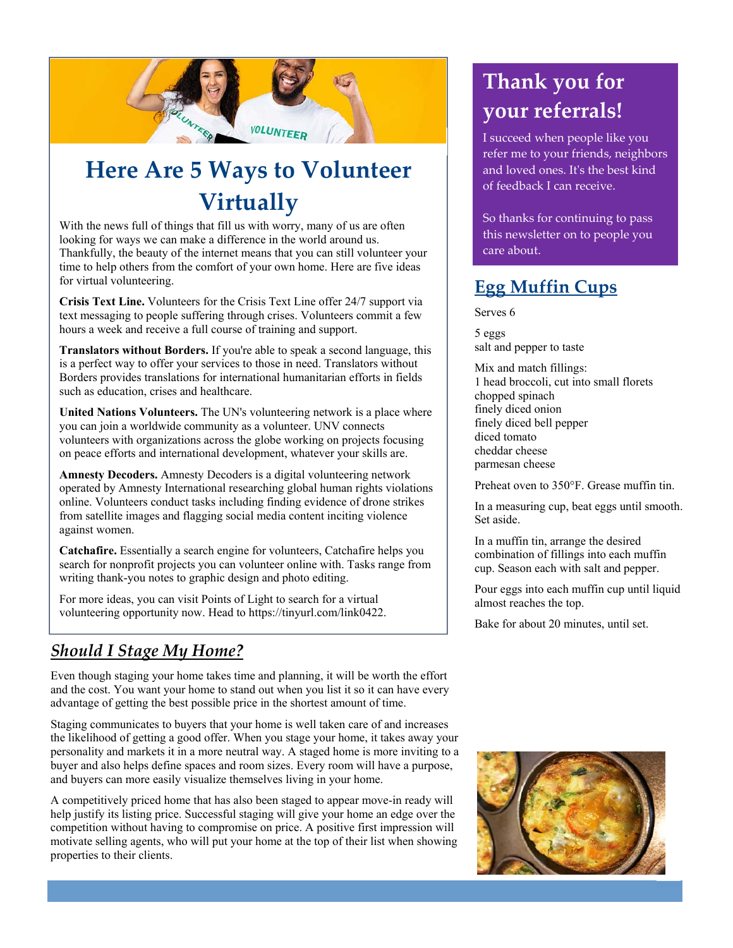

# **Here Are 5 Ways to Volunteer Virtually**

With the news full of things that fill us with worry, many of us are often looking for ways we can make a difference in the world around us. Thankfully, the beauty of the internet means that you can still volunteer your time to help others from the comfort of your own home. Here are five ideas for virtual volunteering.

**Crisis Text Line.** Volunteers for the Crisis Text Line offer 24/7 support via text messaging to people suffering through crises. Volunteers commit a few hours a week and receive a full course of training and support.

**Translators without Borders.** If you're able to speak a second language, this is a perfect way to offer your services to those in need. Translators without Borders provides translations for international humanitarian efforts in fields such as education, crises and healthcare.

**United Nations Volunteers.** The UN's volunteering network is a place where you can join a worldwide community as a volunteer. UNV connects volunteers with organizations across the globe working on projects focusing on peace efforts and international development, whatever your skills are.

**Amnesty Decoders.** Amnesty Decoders is a digital volunteering network operated by Amnesty International researching global human rights violations online. Volunteers conduct tasks including finding evidence of drone strikes from satellite images and flagging social media content inciting violence against women.

**Catchafire.** Essentially a search engine for volunteers, Catchafire helps you search for nonprofit projects you can volunteer online with. Tasks range from writing thank-you notes to graphic design and photo editing.

For more ideas, you can visit Points of Light to search for a virtual volunteering opportunity now. Head to https://tinyurl.com/link0422.

### *Should I Stage My Home?*

Even though staging your home takes time and planning, it will be worth the effort and the cost. You want your home to stand out when you list it so it can have every advantage of getting the best possible price in the shortest amount of time.

Staging communicates to buyers that your home is well taken care of and increases the likelihood of getting a good offer. When you stage your home, it takes away your personality and markets it in a more neutral way. A staged home is more inviting to a buyer and also helps define spaces and room sizes. Every room will have a purpose, and buyers can more easily visualize themselves living in your home.

A competitively priced home that has also been staged to appear move-in ready will help justify its listing price. Successful staging will give your home an edge over the competition without having to compromise on price. A positive first impression will motivate selling agents, who will put your home at the top of their list when showing properties to their clients.

## **Thank you for your referrals!**

I succeed when people like you refer me to your friends, neighbors and loved ones. Itʹs the best kind of feedback I can receive.

So thanks for continuing to pass this newsletter on to people you care about.

### **Egg Muffin Cups**

Serves 6

5 eggs salt and pepper to taste

Mix and match fillings: 1 head broccoli, cut into small florets chopped spinach finely diced onion finely diced bell pepper diced tomato cheddar cheese parmesan cheese

Preheat oven to 350°F. Grease muffin tin.

In a measuring cup, beat eggs until smooth. Set aside.

In a muffin tin, arrange the desired combination of fillings into each muffin cup. Season each with salt and pepper.

Pour eggs into each muffin cup until liquid almost reaches the top.

Bake for about 20 minutes, until set.

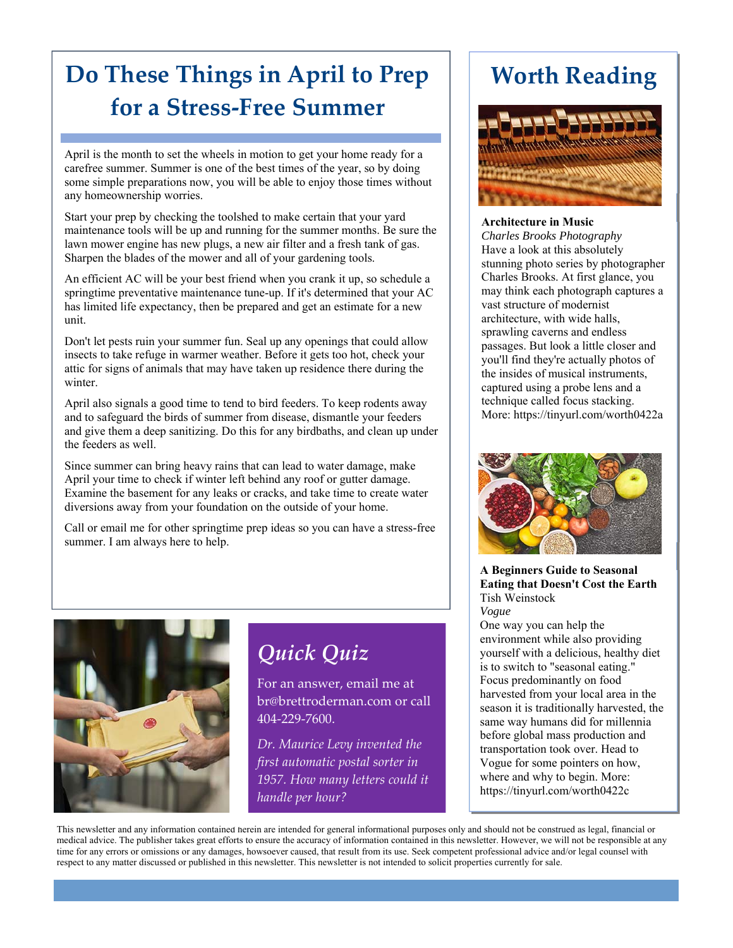## **Do These Things in April to Prep for a Stress‐Free Summer**

April is the month to set the wheels in motion to get your home ready for a carefree summer. Summer is one of the best times of the year, so by doing some simple preparations now, you will be able to enjoy those times without any homeownership worries.

Start your prep by checking the toolshed to make certain that your yard maintenance tools will be up and running for the summer months. Be sure the lawn mower engine has new plugs, a new air filter and a fresh tank of gas. Sharpen the blades of the mower and all of your gardening tools.

An efficient AC will be your best friend when you crank it up, so schedule a springtime preventative maintenance tune-up. If it's determined that your AC has limited life expectancy, then be prepared and get an estimate for a new unit.

Don't let pests ruin your summer fun. Seal up any openings that could allow insects to take refuge in warmer weather. Before it gets too hot, check your attic for signs of animals that may have taken up residence there during the winter.

April also signals a good time to tend to bird feeders. To keep rodents away and to safeguard the birds of summer from disease, dismantle your feeders and give them a deep sanitizing. Do this for any birdbaths, and clean up under the feeders as well.

Since summer can bring heavy rains that can lead to water damage, make April your time to check if winter left behind any roof or gutter damage. Examine the basement for any leaks or cracks, and take time to create water diversions away from your foundation on the outside of your home.

Call or email me for other springtime prep ideas so you can have a stress-free summer. I am always here to help.



*Quick Quiz*

For an answer, email me at br@brettroderman.com or call 404‐229‐7600.

*Dr. Maurice Levy invented the first automatic postal sorter in 1957. How many letters could it handle per hour?*

## **Worth Reading**



#### **Architecture in Music**

*Charles Brooks Photography* Have a look at this absolutely stunning photo series by photographer Charles Brooks. At first glance, you may think each photograph captures a vast structure of modernist architecture, with wide halls, sprawling caverns and endless passages. But look a little closer and you'll find they're actually photos of the insides of musical instruments, captured using a probe lens and a technique called focus stacking. More: https://tinyurl.com/worth0422a



**A Beginners Guide to Seasonal Eating that Doesn't Cost the Earth** Tish Weinstock

*Vogue*

One way you can help the environment while also providing yourself with a delicious, healthy diet is to switch to "seasonal eating." Focus predominantly on food harvested from your local area in the season it is traditionally harvested, the same way humans did for millennia before global mass production and transportation took over. Head to Vogue for some pointers on how, where and why to begin. More: https://tinyurl.com/worth0422c

This newsletter and any information contained herein are intended for general informational purposes only and should not be construed as legal, financial or medical advice. The publisher takes great efforts to ensure the accuracy of information contained in this newsletter. However, we will not be responsible at any time for any errors or omissions or any damages, howsoever caused, that result from its use. Seek competent professional advice and/or legal counsel with respect to any matter discussed or published in this newsletter. This newsletter is not intended to solicit properties currently for sale.